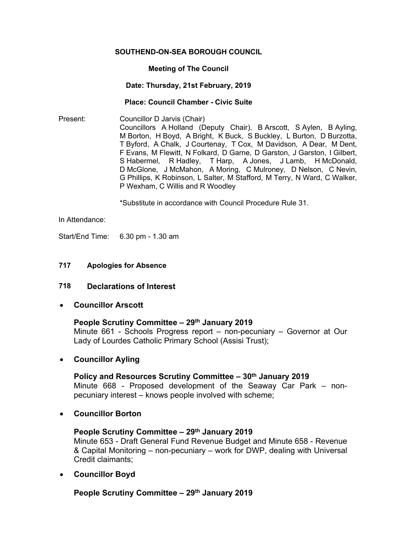### **SOUTHEND-ON-SEA BOROUGH COUNCIL**

### **Meeting of The Council**

#### **Date: Thursday, 21st February, 2019**

#### **Place: Council Chamber - Civic Suite**

Present: Councillor D Jarvis (Chair) Councillors A Holland (Deputy Chair), B Arscott, S Aylen, B Ayling, M Borton, H Boyd, A Bright, K Buck, S Buckley, L Burton, D Burzotta, T Byford, A Chalk, J Courtenay, T Cox, M Davidson, A Dear, M Dent, F Evans, M Flewitt, N Folkard, D Garne, D Garston, J Garston, I Gilbert, S Habermel, R Hadley, T Harp, A Jones, J Lamb, H McDonald, D McGlone, J McMahon, A Moring, C Mulroney, D Nelson, C Nevin, G Phillips, K Robinson, L Salter, M Stafford, M Terry, N Ward, C Walker, P Wexham, C Willis and R Woodley

\*Substitute in accordance with Council Procedure Rule 31.

In Attendance:

Start/End Time: 6.30 pm - 1.30 am

## **717 Apologies for Absence**

## **718 Declarations of Interest**

**Councillor Arscott**

### **People Scrutiny Committee – 29th January 2019**

Minute 661 - Schools Progress report – non-pecuniary – Governor at Our Lady of Lourdes Catholic Primary School (Assisi Trust);

# **Councillor Ayling**

### **Policy and Resources Scrutiny Committee – 30th January 2019**

Minute 668 - Proposed development of the Seaway Car Park – nonpecuniary interest – knows people involved with scheme;

**Councillor Borton**

# **People Scrutiny Committee – 29th January 2019**

Minute 653 - Draft General Fund Revenue Budget and Minute 658 - Revenue & Capital Monitoring – non-pecuniary – work for DWP, dealing with Universal Credit claimants;

**Councillor Boyd**

# **People Scrutiny Committee – 29th January 2019**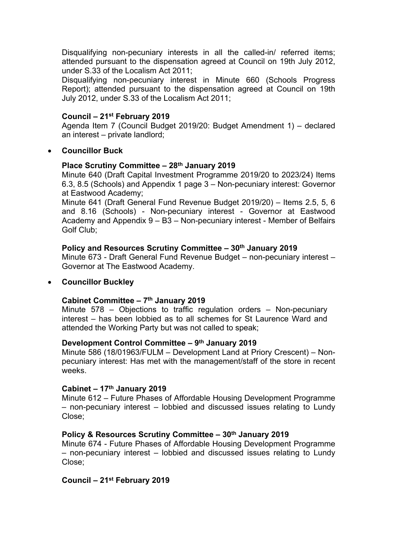Disqualifying non-pecuniary interests in all the called-in/ referred items; attended pursuant to the dispensation agreed at Council on 19th July 2012, under S.33 of the Localism Act 2011;

Disqualifying non-pecuniary interest in Minute 660 (Schools Progress Report); attended pursuant to the dispensation agreed at Council on 19th July 2012, under S.33 of the Localism Act 2011;

## **Council – 21st February 2019**

Agenda Item 7 (Council Budget 2019/20: Budget Amendment 1) – declared an interest – private landlord;

## **Councillor Buck**

# **Place Scrutiny Committee – 28th January 2019**

Minute 640 (Draft Capital Investment Programme 2019/20 to 2023/24) Items 6.3, 8.5 (Schools) and Appendix 1 page 3 – Non-pecuniary interest: Governor at Eastwood Academy;

Minute 641 (Draft General Fund Revenue Budget 2019/20) – Items 2.5, 5, 6 and 8.16 (Schools) - Non-pecuniary interest - Governor at Eastwood Academy and Appendix 9 – B3 – Non-pecuniary interest - Member of Belfairs Golf Club;

## **Policy and Resources Scrutiny Committee – 30th January 2019**

Minute 673 - Draft General Fund Revenue Budget – non-pecuniary interest – Governor at The Eastwood Academy.

## **Councillor Buckley**

### **Cabinet Committee – 7 th January 2019**

Minute 578 – Objections to traffic regulation orders – Non-pecuniary interest – has been lobbied as to all schemes for St Laurence Ward and attended the Working Party but was not called to speak;

### **Development Control Committee – 9 th January 2019**

Minute 586 (18/01963/FULM – Development Land at Priory Crescent) – Nonpecuniary interest: Has met with the management/staff of the store in recent weeks.

### **Cabinet – 17th January 2019**

Minute 612 – Future Phases of Affordable Housing Development Programme – non-pecuniary interest – lobbied and discussed issues relating to Lundy Close;

# **Policy & Resources Scrutiny Committee – 30th January 2019**

Minute 674 - Future Phases of Affordable Housing Development Programme – non-pecuniary interest – lobbied and discussed issues relating to Lundy Close;

# **Council – 21st February 2019**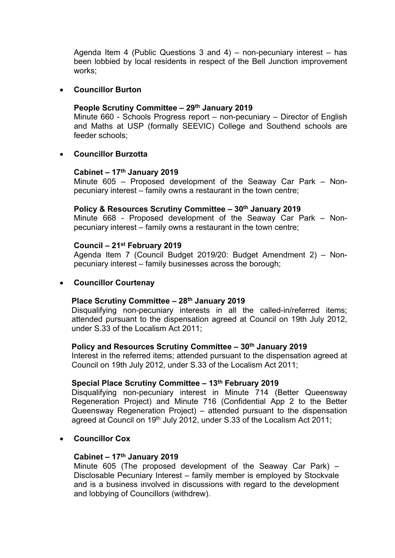Agenda Item 4 (Public Questions 3 and 4) – non-pecuniary interest – has been lobbied by local residents in respect of the Bell Junction improvement works;

### **Councillor Burton**

## **People Scrutiny Committee – 29th January 2019**

Minute 660 - Schools Progress report – non-pecuniary – Director of English and Maths at USP (formally SEEVIC) College and Southend schools are feeder schools;

## **Councillor Burzotta**

## **Cabinet – 17th January 2019**

Minute 605 – Proposed development of the Seaway Car Park – Nonpecuniary interest – family owns a restaurant in the town centre;

### **Policy & Resources Scrutiny Committee – 30th January 2019**

Minute 668 - Proposed development of the Seaway Car Park – Nonpecuniary interest – family owns a restaurant in the town centre;

## **Council – 21st February 2019**

Agenda Item 7 (Council Budget 2019/20: Budget Amendment 2) – Nonpecuniary interest – family businesses across the borough;

# **Councillor Courtenay**

## **Place Scrutiny Committee – 28th January 2019**

Disqualifying non-pecuniary interests in all the called-in/referred items; attended pursuant to the dispensation agreed at Council on 19th July 2012, under S.33 of the Localism Act 2011;

## **Policy and Resources Scrutiny Committee – 30th January 2019**

Interest in the referred items; attended pursuant to the dispensation agreed at Council on 19th July 2012, under S.33 of the Localism Act 2011;

### **Special Place Scrutiny Committee – 13th February 2019**

Disqualifying non-pecuniary interest in Minute 714 (Better Queensway Regeneration Project) and Minute 716 (Confidential App 2 to the Better Queensway Regeneration Project) – attended pursuant to the dispensation agreed at Council on 19th July 2012, under S.33 of the Localism Act 2011;

**Councillor Cox**

### **Cabinet – 17th January 2019**

Minute 605 (The proposed development of the Seaway Car Park) – Disclosable Pecuniary Interest – family member is employed by Stockvale and is a business involved in discussions with regard to the development and lobbying of Councillors (withdrew).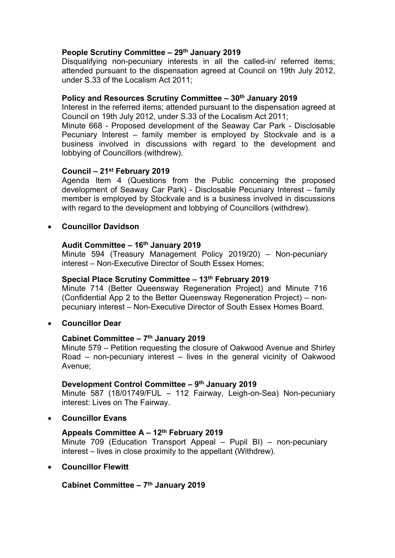# **People Scrutiny Committee – 29th January 2019**

Disqualifying non-pecuniary interests in all the called-in/ referred items; attended pursuant to the dispensation agreed at Council on 19th July 2012, under S.33 of the Localism Act 2011;

## **Policy and Resources Scrutiny Committee – 30th January 2019**

Interest in the referred items; attended pursuant to the dispensation agreed at Council on 19th July 2012, under S.33 of the Localism Act 2011;

Minute 668 - Proposed development of the Seaway Car Park - Disclosable Pecuniary Interest – family member is employed by Stockvale and is a business involved in discussions with regard to the development and lobbying of Councillors (withdrew).

## **Council – 21st February 2019**

Agenda Item 4 (Questions from the Public concerning the proposed development of Seaway Car Park) - Disclosable Pecuniary Interest – family member is employed by Stockvale and is a business involved in discussions with regard to the development and lobbying of Councillors (withdrew).

## **Councillor Davidson**

# **Audit Committee – 16th January 2019**

Minute 594 (Treasury Management Policy 2019/20) – Non-pecuniary interest – Non-Executive Director of South Essex Homes;

## **Special Place Scrutiny Committee – 13th February 2019**

Minute 714 (Better Queensway Regeneration Project) and Minute 716 (Confidential App 2 to the Better Queensway Regeneration Project) – nonpecuniary interest – Non-Executive Director of South Essex Homes Board.

### **Councillor Dear**

### **Cabinet Committee – 7 th January 2019**

Minute 579 – Petition requesting the closure of Oakwood Avenue and Shirley Road – non-pecuniary interest – lives in the general vicinity of Oakwood Avenue;

### **Development Control Committee – 9 th January 2019**

Minute 587 (18/01749/FUL – 112 Fairway, Leigh-on-Sea) Non-pecuniary interest: Lives on The Fairway.

### **Councillor Evans**

# **Appeals Committee A – 12th February 2019**

Minute 709 (Education Transport Appeal – Pupil BI) – non-pecuniary interest – lives in close proximity to the appellant (Withdrew).

### **Councillor Flewitt**

# **Cabinet Committee – 7 th January 2019**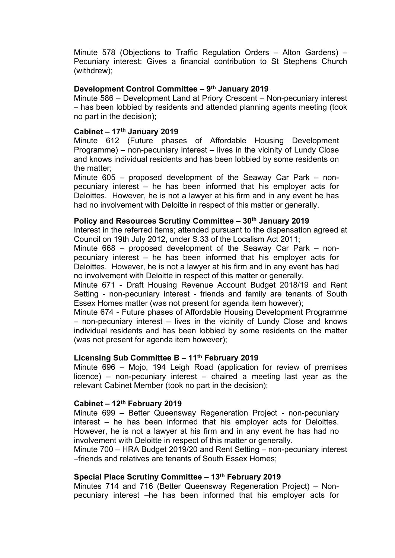Minute 578 (Objections to Traffic Regulation Orders – Alton Gardens) – Pecuniary interest: Gives a financial contribution to St Stephens Church (withdrew);

## **Development Control Committee – 9 th January 2019**

Minute 586 – Development Land at Priory Crescent – Non-pecuniary interest – has been lobbied by residents and attended planning agents meeting (took no part in the decision);

## **Cabinet – 17th January 2019**

Minute 612 (Future phases of Affordable Housing Development Programme) – non-pecuniary interest – lives in the vicinity of Lundy Close and knows individual residents and has been lobbied by some residents on the matter;

Minute 605 – proposed development of the Seaway Car Park – nonpecuniary interest – he has been informed that his employer acts for Deloittes. However, he is not a lawyer at his firm and in any event he has had no involvement with Deloitte in respect of this matter or generally.

### **Policy and Resources Scrutiny Committee – 30th January 2019**

Interest in the referred items; attended pursuant to the dispensation agreed at Council on 19th July 2012, under S.33 of the Localism Act 2011;

Minute 668 – proposed development of the Seaway Car Park – nonpecuniary interest – he has been informed that his employer acts for Deloittes. However, he is not a lawyer at his firm and in any event has had no involvement with Deloitte in respect of this matter or generally.

Minute 671 - Draft Housing Revenue Account Budget 2018/19 and Rent Setting - non-pecuniary interest - friends and family are tenants of South Essex Homes matter (was not present for agenda item however);

Minute 674 - Future phases of Affordable Housing Development Programme – non-pecuniary interest – lives in the vicinity of Lundy Close and knows individual residents and has been lobbied by some residents on the matter (was not present for agenda item however);

### **Licensing Sub Committee B – 11th February 2019**

Minute 696 – Mojo, 194 Leigh Road (application for review of premises licence) – non-pecuniary interest – chaired a meeting last year as the relevant Cabinet Member (took no part in the decision);

### **Cabinet – 12th February 2019**

Minute 699 – Better Queensway Regeneration Project - non-pecuniary interest – he has been informed that his employer acts for Deloittes. However, he is not a lawyer at his firm and in any event he has had no involvement with Deloitte in respect of this matter or generally.

Minute 700 – HRA Budget 2019/20 and Rent Setting – non-pecuniary interest –friends and relatives are tenants of South Essex Homes;

### **Special Place Scrutiny Committee – 13th February 2019**

Minutes 714 and 716 (Better Queensway Regeneration Project) – Nonpecuniary interest –he has been informed that his employer acts for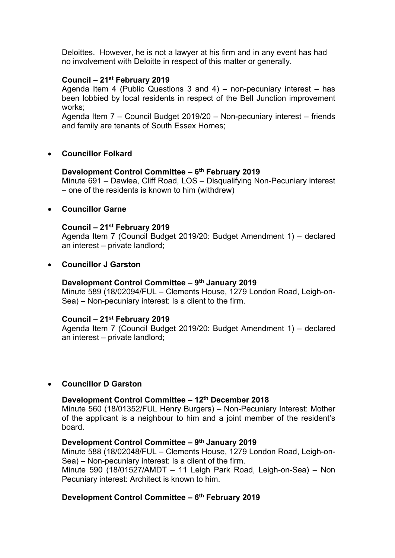Deloittes. However, he is not a lawyer at his firm and in any event has had no involvement with Deloitte in respect of this matter or generally.

## **Council – 21st February 2019**

Agenda Item 4 (Public Questions 3 and 4) – non-pecuniary interest – has been lobbied by local residents in respect of the Bell Junction improvement works;

Agenda Item 7 – Council Budget 2019/20 – Non-pecuniary interest – friends and family are tenants of South Essex Homes;

## **Councillor Folkard**

# **Development Control Committee – 6 th February 2019**

Minute 691 – Dawlea, Cliff Road, LOS – Disqualifying Non-Pecuniary interest – one of the residents is known to him (withdrew)

## **Councillor Garne**

## **Council – 21st February 2019**

Agenda Item 7 (Council Budget 2019/20: Budget Amendment 1) – declared an interest – private landlord;

### **Councillor J Garston**

## **Development Control Committee – 9 th January 2019**

Minute 589 (18/02094/FUL – Clements House, 1279 London Road, Leigh-on-Sea) – Non-pecuniary interest: Is a client to the firm.

### **Council – 21st February 2019**

Agenda Item 7 (Council Budget 2019/20: Budget Amendment 1) – declared an interest – private landlord;

### **Councillor D Garston**

## **Development Control Committee – 12th December 2018**

Minute 560 (18/01352/FUL Henry Burgers) – Non-Pecuniary Interest: Mother of the applicant is a neighbour to him and a joint member of the resident's board.

### **Development Control Committee – 9 th January 2019**

Minute 588 (18/02048/FUL – Clements House, 1279 London Road, Leigh-on-Sea) – Non-pecuniary interest: Is a client of the firm.

Minute 590 (18/01527/AMDT – 11 Leigh Park Road, Leigh-on-Sea) – Non Pecuniary interest: Architect is known to him.

### **Development Control Committee – 6 th February 2019**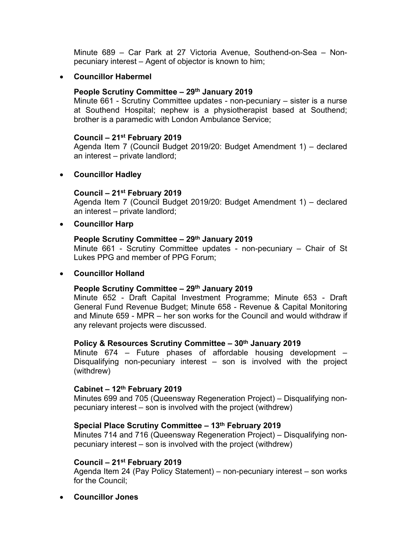Minute 689 – Car Park at 27 Victoria Avenue, Southend-on-Sea – Nonpecuniary interest – Agent of objector is known to him;

## **Councillor Habermel**

### **People Scrutiny Committee – 29th January 2019**

Minute 661 - Scrutiny Committee updates - non-pecuniary – sister is a nurse at Southend Hospital; nephew is a physiotherapist based at Southend; brother is a paramedic with London Ambulance Service;

#### **Council – 21st February 2019**

Agenda Item 7 (Council Budget 2019/20: Budget Amendment 1) – declared an interest – private landlord;

## **Councillor Hadley**

### **Council – 21st February 2019**

Agenda Item 7 (Council Budget 2019/20: Budget Amendment 1) – declared an interest – private landlord;

## **Councillor Harp**

## **People Scrutiny Committee – 29th January 2019**

Minute 661 - Scrutiny Committee updates - non-pecuniary – Chair of St Lukes PPG and member of PPG Forum;

### **Councillor Holland**

### **People Scrutiny Committee – 29th January 2019**

Minute 652 - Draft Capital Investment Programme; Minute 653 - Draft General Fund Revenue Budget; Minute 658 - Revenue & Capital Monitoring and Minute 659 - MPR – her son works for the Council and would withdraw if any relevant projects were discussed.

### **Policy & Resources Scrutiny Committee – 30th January 2019**

Minute 674 – Future phases of affordable housing development – Disqualifying non-pecuniary interest – son is involved with the project (withdrew)

### **Cabinet – 12th February 2019**

Minutes 699 and 705 (Queensway Regeneration Project) – Disqualifying nonpecuniary interest – son is involved with the project (withdrew)

### **Special Place Scrutiny Committee – 13th February 2019**

Minutes 714 and 716 (Queensway Regeneration Project) – Disqualifying nonpecuniary interest – son is involved with the project (withdrew)

#### **Council – 21st February 2019**

Agenda Item 24 (Pay Policy Statement) – non-pecuniary interest – son works for the Council;

**Councillor Jones**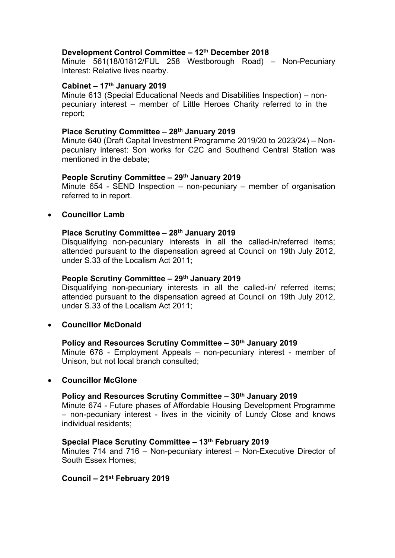## **Development Control Committee – 12th December 2018**

Minute 561(18/01812/FUL 258 Westborough Road) – Non-Pecuniary Interest: Relative lives nearby.

### **Cabinet – 17th January 2019**

Minute 613 (Special Educational Needs and Disabilities Inspection) – nonpecuniary interest – member of Little Heroes Charity referred to in the report;

### **Place Scrutiny Committee – 28th January 2019**

Minute 640 (Draft Capital Investment Programme 2019/20 to 2023/24) – Nonpecuniary interest: Son works for C2C and Southend Central Station was mentioned in the debate;

## **People Scrutiny Committee – 29th January 2019**

Minute 654 - SEND Inspection – non-pecuniary – member of organisation referred to in report.

## **Councillor Lamb**

## **Place Scrutiny Committee – 28th January 2019**

Disqualifying non-pecuniary interests in all the called-in/referred items; attended pursuant to the dispensation agreed at Council on 19th July 2012, under S.33 of the Localism Act 2011;

### **People Scrutiny Committee – 29th January 2019**

Disqualifying non-pecuniary interests in all the called-in/ referred items; attended pursuant to the dispensation agreed at Council on 19th July 2012, under S.33 of the Localism Act 2011;

# **Councillor McDonald**

### **Policy and Resources Scrutiny Committee – 30th January 2019**

Minute 678 - Employment Appeals – non-pecuniary interest - member of Unison, but not local branch consulted;

### **Councillor McGlone**

### **Policy and Resources Scrutiny Committee – 30th January 2019**

Minute 674 - Future phases of Affordable Housing Development Programme – non-pecuniary interest - lives in the vicinity of Lundy Close and knows individual residents;

### **Special Place Scrutiny Committee – 13th February 2019**

Minutes 714 and 716 – Non-pecuniary interest – Non-Executive Director of South Essex Homes;

### **Council – 21st February 2019**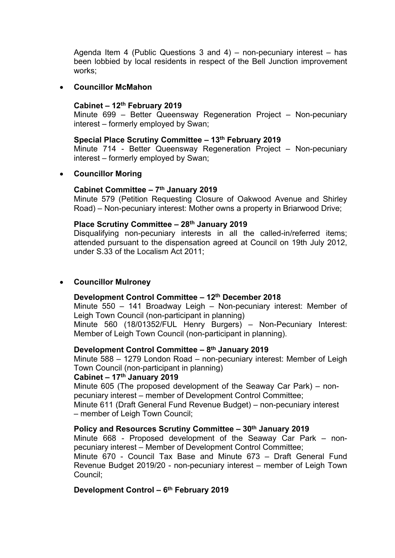Agenda Item 4 (Public Questions 3 and 4) – non-pecuniary interest – has been lobbied by local residents in respect of the Bell Junction improvement works;

## **Councillor McMahon**

## **Cabinet – 12th February 2019**

Minute 699 – Better Queensway Regeneration Project – Non-pecuniary interest – formerly employed by Swan;

### **Special Place Scrutiny Committee – 13th February 2019**

Minute 714 - Better Queensway Regeneration Project – Non-pecuniary interest – formerly employed by Swan;

## **Councillor Moring**

## **Cabinet Committee – 7 th January 2019**

Minute 579 (Petition Requesting Closure of Oakwood Avenue and Shirley Road) – Non-pecuniary interest: Mother owns a property in Briarwood Drive;

## **Place Scrutiny Committee – 28th January 2019**

Disqualifying non-pecuniary interests in all the called-in/referred items; attended pursuant to the dispensation agreed at Council on 19th July 2012, under S.33 of the Localism Act 2011;

# **Councillor Mulroney**

### **Development Control Committee – 12th December 2018**

Minute 550 – 141 Broadway Leigh – Non-pecuniary interest: Member of Leigh Town Council (non-participant in planning)

Minute 560 (18/01352/FUL Henry Burgers) – Non-Pecuniary Interest: Member of Leigh Town Council (non-participant in planning).

### **Development Control Committee – 8 th January 2019**

Minute 588 – 1279 London Road – non-pecuniary interest: Member of Leigh Town Council (non-participant in planning)

## **Cabinet – 17th January 2019**

Minute 605 (The proposed development of the Seaway Car Park) – nonpecuniary interest – member of Development Control Committee;

Minute 611 (Draft General Fund Revenue Budget) – non-pecuniary interest – member of Leigh Town Council;

## **Policy and Resources Scrutiny Committee – 30th January 2019**

Minute 668 - Proposed development of the Seaway Car Park – nonpecuniary interest – Member of Development Control Committee;

Minute 670 - Council Tax Base and Minute 673 – Draft General Fund Revenue Budget 2019/20 - non-pecuniary interest – member of Leigh Town Council;

# **Development Control – 6 th February 2019**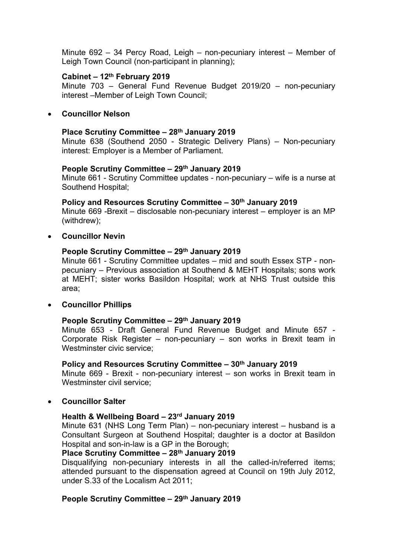Minute 692 – 34 Percy Road, Leigh – non-pecuniary interest – Member of Leigh Town Council (non-participant in planning);

## **Cabinet – 12th February 2019**

Minute 703 – General Fund Revenue Budget 2019/20 – non-pecuniary interest –Member of Leigh Town Council;

### **Councillor Nelson**

### **Place Scrutiny Committee – 28th January 2019**

Minute 638 (Southend 2050 - Strategic Delivery Plans) – Non-pecuniary interest: Employer is a Member of Parliament.

## **People Scrutiny Committee – 29th January 2019**

Minute 661 - Scrutiny Committee updates - non-pecuniary – wife is a nurse at Southend Hospital;

**Policy and Resources Scrutiny Committee – 30th January 2019** Minute 669 -Brexit – disclosable non-pecuniary interest – employer is an MP (withdrew);

# **Councillor Nevin**

## **People Scrutiny Committee – 29th January 2019**

Minute 661 - Scrutiny Committee updates – mid and south Essex STP - nonpecuniary – Previous association at Southend & MEHT Hospitals; sons work at MEHT; sister works Basildon Hospital; work at NHS Trust outside this area;

# **Councillor Phillips**

### **People Scrutiny Committee – 29th January 2019**

Minute 653 - Draft General Fund Revenue Budget and Minute 657 - Corporate Risk Register – non-pecuniary – son works in Brexit team in Westminster civic service;

### **Policy and Resources Scrutiny Committee – 30th January 2019**

Minute 669 - Brexit - non-pecuniary interest – son works in Brexit team in Westminster civil service:

# **Councillor Salter**

# **Health & Wellbeing Board – 23rd January 2019**

Minute 631 (NHS Long Term Plan) – non-pecuniary interest – husband is a Consultant Surgeon at Southend Hospital; daughter is a doctor at Basildon Hospital and son-in-law is a GP in the Borough;

## **Place Scrutiny Committee – 28th January 2019**

Disqualifying non-pecuniary interests in all the called-in/referred items; attended pursuant to the dispensation agreed at Council on 19th July 2012, under S.33 of the Localism Act 2011;

# **People Scrutiny Committee – 29th January 2019**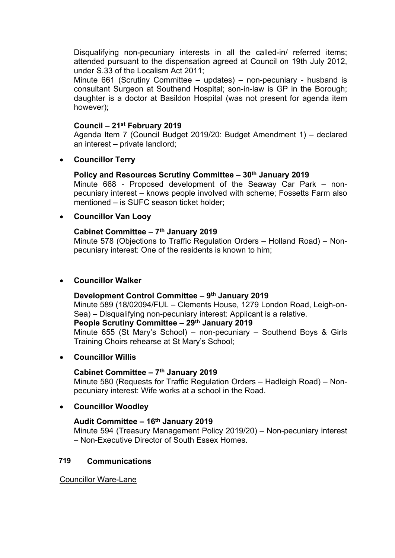Disqualifying non-pecuniary interests in all the called-in/ referred items; attended pursuant to the dispensation agreed at Council on 19th July 2012, under S.33 of the Localism Act 2011;

Minute 661 (Scrutiny Committee – updates) – non-pecuniary - husband is consultant Surgeon at Southend Hospital; son-in-law is GP in the Borough; daughter is a doctor at Basildon Hospital (was not present for agenda item however);

## **Council – 21st February 2019**

Agenda Item 7 (Council Budget 2019/20: Budget Amendment 1) – declared an interest – private landlord;

**Councillor Terry**

# **Policy and Resources Scrutiny Committee – 30th January 2019**

Minute 668 - Proposed development of the Seaway Car Park – nonpecuniary interest – knows people involved with scheme; Fossetts Farm also mentioned – is SUFC season ticket holder;

# **Councillor Van Looy**

## **Cabinet Committee – 7 th January 2019**

Minute 578 (Objections to Traffic Regulation Orders – Holland Road) – Nonpecuniary interest: One of the residents is known to him;

## **Councillor Walker**

### **Development Control Committee – 9 th January 2019**

Minute 589 (18/02094/FUL – Clements House, 1279 London Road, Leigh-on-Sea) – Disqualifying non-pecuniary interest: Applicant is a relative.

# **People Scrutiny Committee – 29th January 2019**

Minute 655 (St Mary's School) – non-pecuniary – Southend Boys & Girls Training Choirs rehearse at St Mary's School;

### **Councillor Willis**

### **Cabinet Committee – 7 th January 2019**

Minute 580 (Requests for Traffic Regulation Orders – Hadleigh Road) – Nonpecuniary interest: Wife works at a school in the Road.

### **Councillor Woodley**

### **Audit Committee – 16th January 2019**

Minute 594 (Treasury Management Policy 2019/20) – Non-pecuniary interest – Non-Executive Director of South Essex Homes.

# **719 Communications**

Councillor Ware-Lane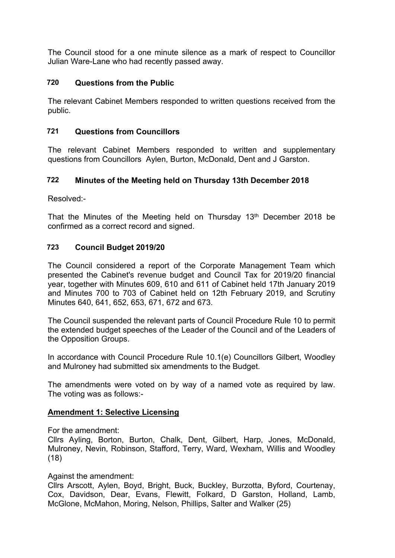The Council stood for a one minute silence as a mark of respect to Councillor Julian Ware-Lane who had recently passed away.

# **720 Questions from the Public**

The relevant Cabinet Members responded to written questions received from the public.

# **721 Questions from Councillors**

The relevant Cabinet Members responded to written and supplementary questions from Councillors Aylen, Burton, McDonald, Dent and J Garston.

# **722 Minutes of the Meeting held on Thursday 13th December 2018**

Resolved:-

That the Minutes of the Meeting held on Thursday 13<sup>th</sup> December 2018 be confirmed as a correct record and signed.

# **723 Council Budget 2019/20**

The Council considered a report of the Corporate Management Team which presented the Cabinet's revenue budget and Council Tax for 2019/20 financial year, together with Minutes 609, 610 and 611 of Cabinet held 17th January 2019 and Minutes 700 to 703 of Cabinet held on 12th February 2019, and Scrutiny Minutes 640, 641, 652, 653, 671, 672 and 673.

The Council suspended the relevant parts of Council Procedure Rule 10 to permit the extended budget speeches of the Leader of the Council and of the Leaders of the Opposition Groups.

In accordance with Council Procedure Rule 10.1(e) Councillors Gilbert, Woodley and Mulroney had submitted six amendments to the Budget.

The amendments were voted on by way of a named vote as required by law. The voting was as follows:-

# **Amendment 1: Selective Licensing**

For the amendment:

Cllrs Ayling, Borton, Burton, Chalk, Dent, Gilbert, Harp, Jones, McDonald, Mulroney, Nevin, Robinson, Stafford, Terry, Ward, Wexham, Willis and Woodley (18)

Against the amendment:

Cllrs Arscott, Aylen, Boyd, Bright, Buck, Buckley, Burzotta, Byford, Courtenay, Cox, Davidson, Dear, Evans, Flewitt, Folkard, D Garston, Holland, Lamb, McGlone, McMahon, Moring, Nelson, Phillips, Salter and Walker (25)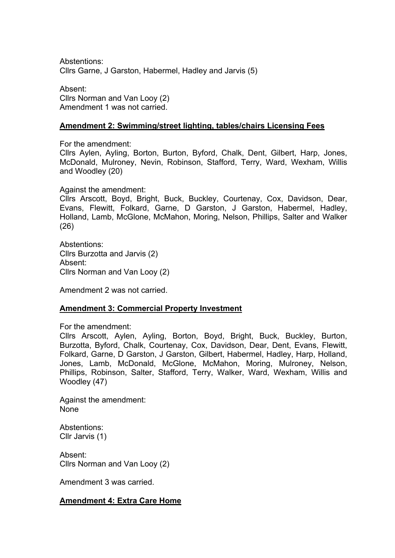Abstentions: Cllrs Garne, J Garston, Habermel, Hadley and Jarvis (5)

Absent: Cllrs Norman and Van Looy (2) Amendment 1 was not carried.

### **Amendment 2: Swimming/street lighting, tables/chairs Licensing Fees**

For the amendment:

Cllrs Aylen, Ayling, Borton, Burton, Byford, Chalk, Dent, Gilbert, Harp, Jones, McDonald, Mulroney, Nevin, Robinson, Stafford, Terry, Ward, Wexham, Willis and Woodley (20)

Against the amendment:

Cllrs Arscott, Boyd, Bright, Buck, Buckley, Courtenay, Cox, Davidson, Dear, Evans, Flewitt, Folkard, Garne, D Garston, J Garston, Habermel, Hadley, Holland, Lamb, McGlone, McMahon, Moring, Nelson, Phillips, Salter and Walker (26)

Abstentions: Cllrs Burzotta and Jarvis (2) Absent: Cllrs Norman and Van Looy (2)

Amendment 2 was not carried.

### **Amendment 3: Commercial Property Investment**

For the amendment:

Cllrs Arscott, Aylen, Ayling, Borton, Boyd, Bright, Buck, Buckley, Burton, Burzotta, Byford, Chalk, Courtenay, Cox, Davidson, Dear, Dent, Evans, Flewitt, Folkard, Garne, D Garston, J Garston, Gilbert, Habermel, Hadley, Harp, Holland, Jones, Lamb, McDonald, McGlone, McMahon, Moring, Mulroney, Nelson, Phillips, Robinson, Salter, Stafford, Terry, Walker, Ward, Wexham, Willis and Woodley (47)

Against the amendment: None

Abstentions: Cllr Jarvis (1)

Absent: Cllrs Norman and Van Looy (2)

Amendment 3 was carried.

### **Amendment 4: Extra Care Home**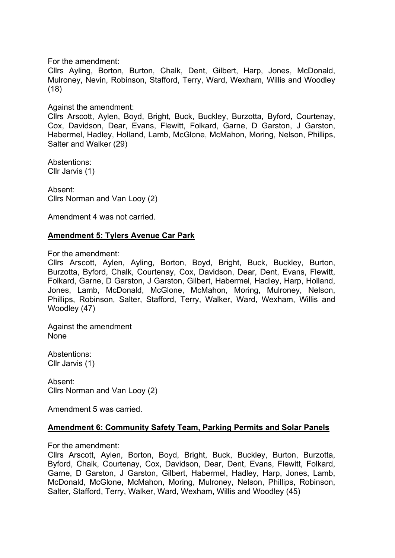For the amendment:

Cllrs Ayling, Borton, Burton, Chalk, Dent, Gilbert, Harp, Jones, McDonald, Mulroney, Nevin, Robinson, Stafford, Terry, Ward, Wexham, Willis and Woodley (18)

## Against the amendment:

Cllrs Arscott, Aylen, Boyd, Bright, Buck, Buckley, Burzotta, Byford, Courtenay, Cox, Davidson, Dear, Evans, Flewitt, Folkard, Garne, D Garston, J Garston, Habermel, Hadley, Holland, Lamb, McGlone, McMahon, Moring, Nelson, Phillips, Salter and Walker (29)

Abstentions: Cllr Jarvis (1)

Absent: Cllrs Norman and Van Looy (2)

Amendment 4 was not carried.

# **Amendment 5: Tylers Avenue Car Park**

For the amendment:

Cllrs Arscott, Aylen, Ayling, Borton, Boyd, Bright, Buck, Buckley, Burton, Burzotta, Byford, Chalk, Courtenay, Cox, Davidson, Dear, Dent, Evans, Flewitt, Folkard, Garne, D Garston, J Garston, Gilbert, Habermel, Hadley, Harp, Holland, Jones, Lamb, McDonald, McGlone, McMahon, Moring, Mulroney, Nelson, Phillips, Robinson, Salter, Stafford, Terry, Walker, Ward, Wexham, Willis and Woodley (47)

Against the amendment None

Abstentions: Cllr Jarvis (1)

Absent: Cllrs Norman and Van Looy (2)

Amendment 5 was carried.

# **Amendment 6: Community Safety Team, Parking Permits and Solar Panels**

For the amendment:

Cllrs Arscott, Aylen, Borton, Boyd, Bright, Buck, Buckley, Burton, Burzotta, Byford, Chalk, Courtenay, Cox, Davidson, Dear, Dent, Evans, Flewitt, Folkard, Garne, D Garston, J Garston, Gilbert, Habermel, Hadley, Harp, Jones, Lamb, McDonald, McGlone, McMahon, Moring, Mulroney, Nelson, Phillips, Robinson, Salter, Stafford, Terry, Walker, Ward, Wexham, Willis and Woodley (45)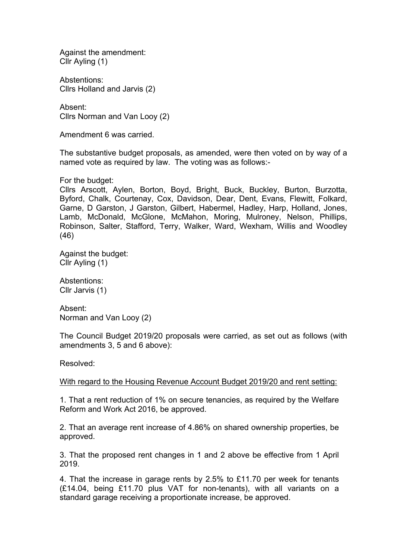Against the amendment: Cllr Ayling (1)

Abstentions: Cllrs Holland and Jarvis (2)

Absent: Cllrs Norman and Van Looy (2)

Amendment 6 was carried.

The substantive budget proposals, as amended, were then voted on by way of a named vote as required by law. The voting was as follows:-

For the budget:

Cllrs Arscott, Aylen, Borton, Boyd, Bright, Buck, Buckley, Burton, Burzotta, Byford, Chalk, Courtenay, Cox, Davidson, Dear, Dent, Evans, Flewitt, Folkard, Garne, D Garston, J Garston, Gilbert, Habermel, Hadley, Harp, Holland, Jones, Lamb, McDonald, McGlone, McMahon, Moring, Mulroney, Nelson, Phillips, Robinson, Salter, Stafford, Terry, Walker, Ward, Wexham, Willis and Woodley (46)

Against the budget: Cllr Ayling (1)

Abstentions: Cllr Jarvis (1)

Absent: Norman and Van Looy (2)

The Council Budget 2019/20 proposals were carried, as set out as follows (with amendments 3, 5 and 6 above):

Resolved:

With regard to the Housing Revenue Account Budget 2019/20 and rent setting:

1. That a rent reduction of 1% on secure tenancies, as required by the Welfare Reform and Work Act 2016, be approved.

2. That an average rent increase of 4.86% on shared ownership properties, be approved.

3. That the proposed rent changes in 1 and 2 above be effective from 1 April 2019.

4. That the increase in garage rents by 2.5% to £11.70 per week for tenants (£14.04, being £11.70 plus VAT for non-tenants), with all variants on a standard garage receiving a proportionate increase, be approved.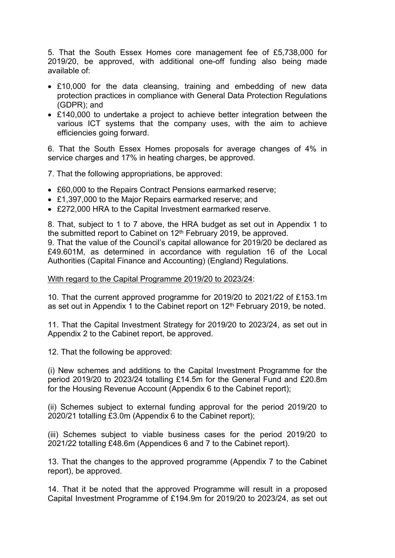5. That the South Essex Homes core management fee of £5,738,000 for 2019/20, be approved, with additional one-off funding also being made available of:

- £10,000 for the data cleansing, training and embedding of new data protection practices in compliance with General Data Protection Regulations (GDPR); and
- £140,000 to undertake a project to achieve better integration between the various ICT systems that the company uses, with the aim to achieve efficiencies going forward.

6. That the South Essex Homes proposals for average changes of 4% in service charges and 17% in heating charges, be approved.

7. That the following appropriations, be approved:

- £60,000 to the Repairs Contract Pensions earmarked reserve;
- £1,397,000 to the Major Repairs earmarked reserve; and
- £272,000 HRA to the Capital Investment earmarked reserve.

8. That, subject to 1 to 7 above, the HRA budget as set out in Appendix 1 to the submitted report to Cabinet on 12<sup>th</sup> February 2019, be approved. 9. That the value of the Council's capital allowance for 2019/20 be declared as

£49.601M, as determined in accordance with regulation 16 of the Local Authorities (Capital Finance and Accounting) (England) Regulations.

### With regard to the Capital Programme 2019/20 to 2023/24:

10. That the current approved programme for 2019/20 to 2021/22 of £153.1m as set out in Appendix 1 to the Cabinet report on 12<sup>th</sup> February 2019, be noted.

11. That the Capital Investment Strategy for 2019/20 to 2023/24, as set out in Appendix 2 to the Cabinet report, be approved.

12. That the following be approved:

(i) New schemes and additions to the Capital Investment Programme for the period 2019/20 to 2023/24 totalling £14.5m for the General Fund and £20.8m for the Housing Revenue Account (Appendix 6 to the Cabinet report);

(ii) Schemes subject to external funding approval for the period 2019/20 to 2020/21 totalling £3.0m (Appendix 6 to the Cabinet report);

(iii) Schemes subject to viable business cases for the period 2019/20 to 2021/22 totalling £48.6m (Appendices 6 and 7 to the Cabinet report).

13. That the changes to the approved programme (Appendix 7 to the Cabinet report), be approved.

14. That it be noted that the approved Programme will result in a proposed Capital Investment Programme of £194.9m for 2019/20 to 2023/24, as set out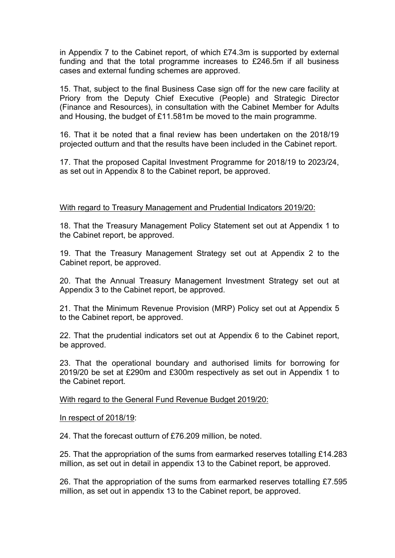in Appendix 7 to the Cabinet report, of which £74.3m is supported by external funding and that the total programme increases to £246.5m if all business cases and external funding schemes are approved.

15. That, subject to the final Business Case sign off for the new care facility at Priory from the Deputy Chief Executive (People) and Strategic Director (Finance and Resources), in consultation with the Cabinet Member for Adults and Housing, the budget of £11.581m be moved to the main programme.

16. That it be noted that a final review has been undertaken on the 2018/19 projected outturn and that the results have been included in the Cabinet report.

17. That the proposed Capital Investment Programme for 2018/19 to 2023/24, as set out in Appendix 8 to the Cabinet report, be approved.

# With regard to Treasury Management and Prudential Indicators 2019/20:

18. That the Treasury Management Policy Statement set out at Appendix 1 to the Cabinet report, be approved.

19. That the Treasury Management Strategy set out at Appendix 2 to the Cabinet report, be approved.

20. That the Annual Treasury Management Investment Strategy set out at Appendix 3 to the Cabinet report, be approved.

21. That the Minimum Revenue Provision (MRP) Policy set out at Appendix 5 to the Cabinet report, be approved.

22. That the prudential indicators set out at Appendix 6 to the Cabinet report, be approved.

23. That the operational boundary and authorised limits for borrowing for 2019/20 be set at £290m and £300m respectively as set out in Appendix 1 to the Cabinet report.

With regard to the General Fund Revenue Budget 2019/20:

In respect of 2018/19:

24. That the forecast outturn of £76.209 million, be noted.

25. That the appropriation of the sums from earmarked reserves totalling £14.283 million, as set out in detail in appendix 13 to the Cabinet report, be approved.

26. That the appropriation of the sums from earmarked reserves totalling £7.595 million, as set out in appendix 13 to the Cabinet report, be approved.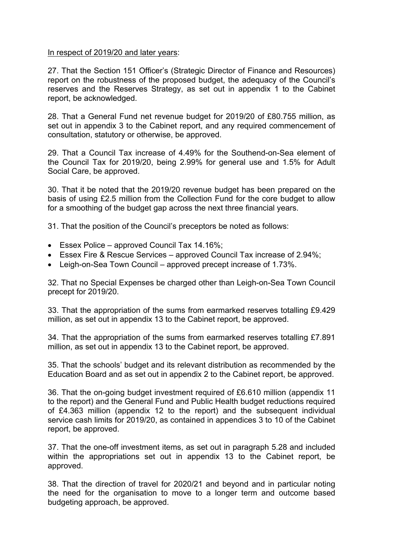### In respect of 2019/20 and later years:

27. That the Section 151 Officer's (Strategic Director of Finance and Resources) report on the robustness of the proposed budget, the adequacy of the Council's reserves and the Reserves Strategy, as set out in appendix 1 to the Cabinet report, be acknowledged.

28. That a General Fund net revenue budget for 2019/20 of £80.755 million, as set out in appendix 3 to the Cabinet report, and any required commencement of consultation, statutory or otherwise, be approved.

29. That a Council Tax increase of 4.49% for the Southend-on-Sea element of the Council Tax for 2019/20, being 2.99% for general use and 1.5% for Adult Social Care, be approved.

30. That it be noted that the 2019/20 revenue budget has been prepared on the basis of using £2.5 million from the Collection Fund for the core budget to allow for a smoothing of the budget gap across the next three financial years.

31. That the position of the Council's preceptors be noted as follows:

- **Essex Police approved Council Tax 14.16%;**
- Essex Fire & Rescue Services approved Council Tax increase of 2.94%;
- Leigh-on-Sea Town Council approved precept increase of 1.73%.

32. That no Special Expenses be charged other than Leigh-on-Sea Town Council precept for 2019/20.

33. That the appropriation of the sums from earmarked reserves totalling £9.429 million, as set out in appendix 13 to the Cabinet report, be approved.

34. That the appropriation of the sums from earmarked reserves totalling £7.891 million, as set out in appendix 13 to the Cabinet report, be approved.

35. That the schools' budget and its relevant distribution as recommended by the Education Board and as set out in appendix 2 to the Cabinet report, be approved.

36. That the on-going budget investment required of £6.610 million (appendix 11 to the report) and the General Fund and Public Health budget reductions required of £4.363 million (appendix 12 to the report) and the subsequent individual service cash limits for 2019/20, as contained in appendices 3 to 10 of the Cabinet report, be approved.

37. That the one-off investment items, as set out in paragraph 5.28 and included within the appropriations set out in appendix 13 to the Cabinet report, be approved.

38. That the direction of travel for 2020/21 and beyond and in particular noting the need for the organisation to move to a longer term and outcome based budgeting approach, be approved.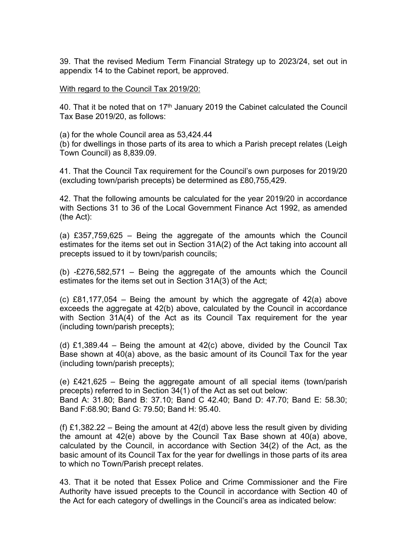39. That the revised Medium Term Financial Strategy up to 2023/24, set out in appendix 14 to the Cabinet report, be approved.

With regard to the Council Tax 2019/20:

40. That it be noted that on  $17<sup>th</sup>$  January 2019 the Cabinet calculated the Council Tax Base 2019/20, as follows:

(a) for the whole Council area as 53,424.44

(b) for dwellings in those parts of its area to which a Parish precept relates (Leigh Town Council) as 8,839.09.

41. That the Council Tax requirement for the Council's own purposes for 2019/20 (excluding town/parish precepts) be determined as £80,755,429.

42. That the following amounts be calculated for the year 2019/20 in accordance with Sections 31 to 36 of the Local Government Finance Act 1992, as amended (the Act):

(a) £357,759,625 – Being the aggregate of the amounts which the Council estimates for the items set out in Section 31A(2) of the Act taking into account all precepts issued to it by town/parish councils;

(b) -£276,582,571 – Being the aggregate of the amounts which the Council estimates for the items set out in Section 31A(3) of the Act;

(c)  $E81,177,054$  – Being the amount by which the aggregate of  $42(a)$  above exceeds the aggregate at 42(b) above, calculated by the Council in accordance with Section 31A(4) of the Act as its Council Tax requirement for the year (including town/parish precepts);

(d) £1,389.44 – Being the amount at  $42(c)$  above, divided by the Council Tax Base shown at 40(a) above, as the basic amount of its Council Tax for the year (including town/parish precepts);

(e) £421,625 – Being the aggregate amount of all special items (town/parish precepts) referred to in Section 34(1) of the Act as set out below: Band A: 31.80; Band B: 37.10; Band C 42.40; Band D: 47.70; Band E: 58.30; Band F:68.90; Band G: 79.50; Band H: 95.40.

(f) £1,382.22 – Being the amount at  $42(d)$  above less the result given by dividing the amount at 42(e) above by the Council Tax Base shown at 40(a) above, calculated by the Council, in accordance with Section 34(2) of the Act, as the basic amount of its Council Tax for the year for dwellings in those parts of its area to which no Town/Parish precept relates.

43. That it be noted that Essex Police and Crime Commissioner and the Fire Authority have issued precepts to the Council in accordance with Section 40 of the Act for each category of dwellings in the Council's area as indicated below: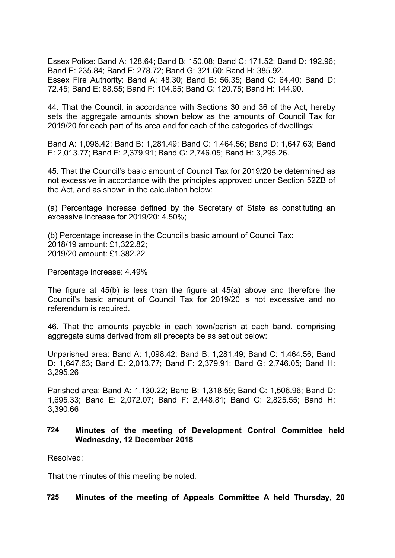Essex Police: Band A: 128.64; Band B: 150.08; Band C: 171.52; Band D: 192.96; Band E: 235.84; Band F: 278.72; Band G: 321.60; Band H: 385.92. Essex Fire Authority: Band A: 48.30; Band B: 56.35; Band C: 64.40; Band D: 72.45; Band E: 88.55; Band F: 104.65; Band G: 120.75; Band H: 144.90.

44. That the Council, in accordance with Sections 30 and 36 of the Act, hereby sets the aggregate amounts shown below as the amounts of Council Tax for 2019/20 for each part of its area and for each of the categories of dwellings:

Band A: 1,098.42; Band B: 1,281.49; Band C: 1,464.56; Band D: 1,647.63; Band E: 2,013.77; Band F: 2,379.91; Band G: 2,746.05; Band H: 3,295.26.

45. That the Council's basic amount of Council Tax for 2019/20 be determined as not excessive in accordance with the principles approved under Section 52ZB of the Act, and as shown in the calculation below:

(a) Percentage increase defined by the Secretary of State as constituting an excessive increase for 2019/20: 4.50%;

(b) Percentage increase in the Council's basic amount of Council Tax: 2018/19 amount: £1,322.82; 2019/20 amount: £1,382.22

Percentage increase: 4.49%

The figure at 45(b) is less than the figure at 45(a) above and therefore the Council's basic amount of Council Tax for 2019/20 is not excessive and no referendum is required.

46. That the amounts payable in each town/parish at each band, comprising aggregate sums derived from all precepts be as set out below:

Unparished area: Band A: 1,098.42; Band B: 1,281.49; Band C: 1,464.56; Band D: 1,647.63; Band E: 2,013.77; Band F: 2,379.91; Band G: 2,746.05; Band H: 3,295.26

Parished area: Band A: 1,130.22; Band B: 1,318.59; Band C: 1,506.96; Band D: 1,695.33; Band E: 2,072.07; Band F: 2,448.81; Band G: 2,825.55; Band H: 3,390.66

### **724 Minutes of the meeting of Development Control Committee held Wednesday, 12 December 2018**

Resolved:

That the minutes of this meeting be noted.

# **725 Minutes of the meeting of Appeals Committee A held Thursday, 20**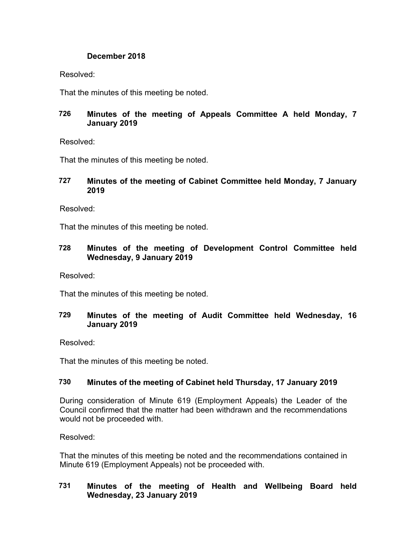# **December 2018**

Resolved:

That the minutes of this meeting be noted.

# **726 Minutes of the meeting of Appeals Committee A held Monday, 7 January 2019**

Resolved:

That the minutes of this meeting be noted.

# **727 Minutes of the meeting of Cabinet Committee held Monday, 7 January 2019**

Resolved:

That the minutes of this meeting be noted.

# **728 Minutes of the meeting of Development Control Committee held Wednesday, 9 January 2019**

Resolved:

That the minutes of this meeting be noted.

# **729 Minutes of the meeting of Audit Committee held Wednesday, 16 January 2019**

Resolved:

That the minutes of this meeting be noted.

# **730 Minutes of the meeting of Cabinet held Thursday, 17 January 2019**

During consideration of Minute 619 (Employment Appeals) the Leader of the Council confirmed that the matter had been withdrawn and the recommendations would not be proceeded with.

Resolved:

That the minutes of this meeting be noted and the recommendations contained in Minute 619 (Employment Appeals) not be proceeded with.

# **731 Minutes of the meeting of Health and Wellbeing Board held Wednesday, 23 January 2019**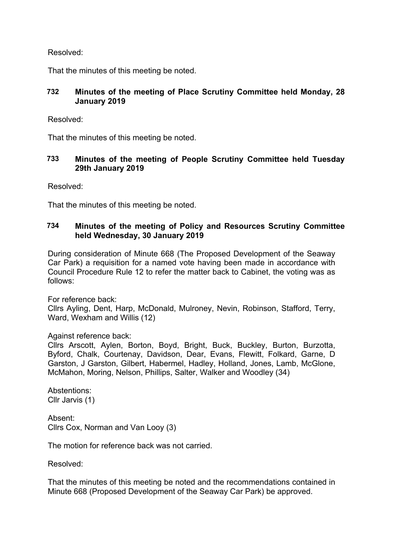Resolved:

That the minutes of this meeting be noted.

# **732 Minutes of the meeting of Place Scrutiny Committee held Monday, 28 January 2019**

Resolved:

That the minutes of this meeting be noted.

# **733 Minutes of the meeting of People Scrutiny Committee held Tuesday 29th January 2019**

Resolved:

That the minutes of this meeting be noted.

# **734 Minutes of the meeting of Policy and Resources Scrutiny Committee held Wednesday, 30 January 2019**

During consideration of Minute 668 (The Proposed Development of the Seaway Car Park) a requisition for a named vote having been made in accordance with Council Procedure Rule 12 to refer the matter back to Cabinet, the voting was as follows:

For reference back:

Cllrs Ayling, Dent, Harp, McDonald, Mulroney, Nevin, Robinson, Stafford, Terry, Ward, Wexham and Willis (12)

Against reference back:

Cllrs Arscott, Aylen, Borton, Boyd, Bright, Buck, Buckley, Burton, Burzotta, Byford, Chalk, Courtenay, Davidson, Dear, Evans, Flewitt, Folkard, Garne, D Garston, J Garston, Gilbert, Habermel, Hadley, Holland, Jones, Lamb, McGlone, McMahon, Moring, Nelson, Phillips, Salter, Walker and Woodley (34)

Abstentions: Cllr Jarvis (1)

Absent: Cllrs Cox, Norman and Van Looy (3)

The motion for reference back was not carried.

Resolved:

That the minutes of this meeting be noted and the recommendations contained in Minute 668 (Proposed Development of the Seaway Car Park) be approved.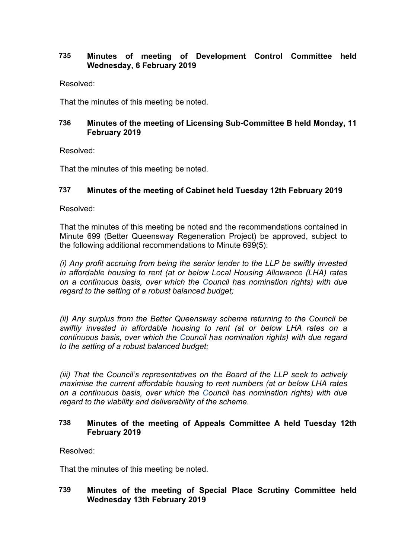# **735 Minutes of meeting of Development Control Committee held Wednesday, 6 February 2019**

Resolved:

That the minutes of this meeting be noted.

# **736 Minutes of the meeting of Licensing Sub-Committee B held Monday, 11 February 2019**

Resolved:

That the minutes of this meeting be noted.

# **737 Minutes of the meeting of Cabinet held Tuesday 12th February 2019**

Resolved:

That the minutes of this meeting be noted and the recommendations contained in Minute 699 (Better Queensway Regeneration Project) be approved, subject to the following additional recommendations to Minute 699(5):

*(i) Any profit accruing from being the senior lender to the LLP be swiftly invested in affordable housing to rent (at or below Local Housing Allowance (LHA) rates on a continuous basis, over which the Council has nomination rights) with due regard to the setting of a robust balanced budget;*

*(ii) Any surplus from the Better Queensway scheme returning to the Council be swiftly invested in affordable housing to rent (at or below LHA rates on a continuous basis, over which the Council has nomination rights) with due regard to the setting of a robust balanced budget;*

*(iii) That the Council's representatives on the Board of the LLP seek to actively maximise the current affordable housing to rent numbers (at or below LHA rates on a continuous basis, over which the Council has nomination rights) with due regard to the viability and deliverability of the scheme.*

# **738 Minutes of the meeting of Appeals Committee A held Tuesday 12th February 2019**

Resolved:

That the minutes of this meeting be noted.

# **739 Minutes of the meeting of Special Place Scrutiny Committee held Wednesday 13th February 2019**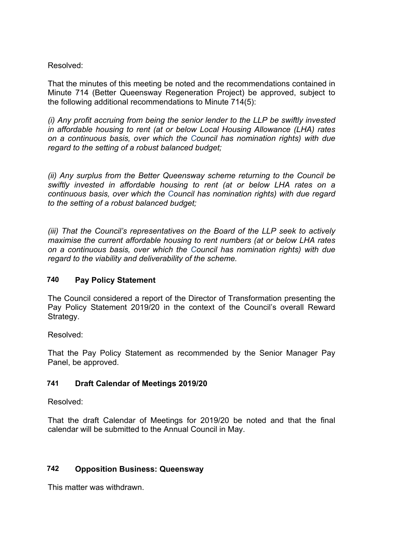# Resolved:

That the minutes of this meeting be noted and the recommendations contained in Minute 714 (Better Queensway Regeneration Project) be approved, subject to the following additional recommendations to Minute 714(5):

*(i) Any profit accruing from being the senior lender to the LLP be swiftly invested in affordable housing to rent (at or below Local Housing Allowance (LHA) rates on a continuous basis, over which the Council has nomination rights) with due regard to the setting of a robust balanced budget;*

*(ii) Any surplus from the Better Queensway scheme returning to the Council be swiftly invested in affordable housing to rent (at or below LHA rates on a continuous basis, over which the Council has nomination rights) with due regard to the setting of a robust balanced budget;*

*(iii) That the Council's representatives on the Board of the LLP seek to actively maximise the current affordable housing to rent numbers (at or below LHA rates on a continuous basis, over which the Council has nomination rights) with due regard to the viability and deliverability of the scheme.*

# **740 Pay Policy Statement**

The Council considered a report of the Director of Transformation presenting the Pay Policy Statement 2019/20 in the context of the Council's overall Reward Strategy.

Resolved:

That the Pay Policy Statement as recommended by the Senior Manager Pay Panel, be approved.

# **741 Draft Calendar of Meetings 2019/20**

Resolved:

That the draft Calendar of Meetings for 2019/20 be noted and that the final calendar will be submitted to the Annual Council in May.

# **742 Opposition Business: Queensway**

This matter was withdrawn.